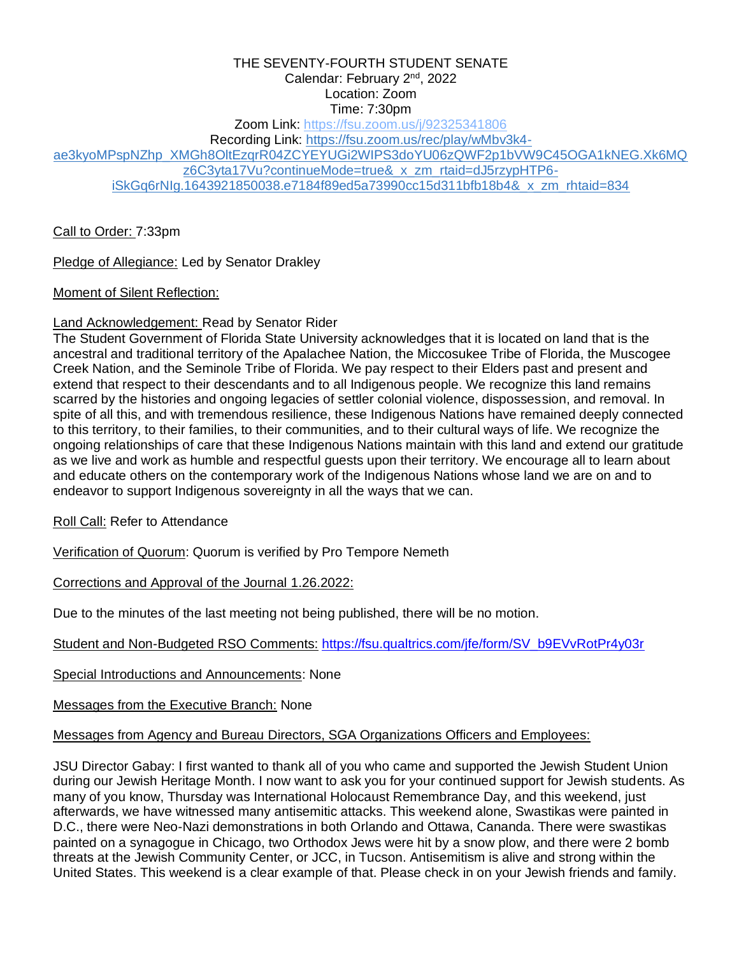#### THE SEVENTY-FOURTH STUDENT SENATE Calendar: February 2<sup>nd</sup>, 2022 Location: Zoom Time: 7:30pm

Zoom Link:<https://fsu.zoom.us/j/92325341806>

Recording Link: [https://fsu.zoom.us/rec/play/wMbv3k4-](https://urldefense.com/v3/__https:/fsu.zoom.us/rec/play/wMbv3k4-ae3kyoMPspNZhp_XMGh8OltEzqrR04ZCYEYUGi2WIPS3doYU06zQWF2p1bVW9C45OGA1kNEG.Xk6MQz6C3yta17Vu?continueMode=true&_x_zm_rtaid=dJ5rzypHTP6-iSkGq6rNIg.1643921850038.e7184f89ed5a73990cc15d311bfb18b4&_x_zm_rhtaid=834__;!!Epnw_ITfSMW4!8qEPubaaGdqjqfWl9EaD7ae0B7eSaH_0ITTLBaSXRWy0PDVjlBlw05QQZPGW6Ggcgk0$)

[ae3kyoMPspNZhp\\_XMGh8OltEzqrR04ZCYEYUGi2WIPS3doYU06zQWF2p1bVW9C45OGA1kNEG.Xk6MQ](https://urldefense.com/v3/__https:/fsu.zoom.us/rec/play/wMbv3k4-ae3kyoMPspNZhp_XMGh8OltEzqrR04ZCYEYUGi2WIPS3doYU06zQWF2p1bVW9C45OGA1kNEG.Xk6MQz6C3yta17Vu?continueMode=true&_x_zm_rtaid=dJ5rzypHTP6-iSkGq6rNIg.1643921850038.e7184f89ed5a73990cc15d311bfb18b4&_x_zm_rhtaid=834__;!!Epnw_ITfSMW4!8qEPubaaGdqjqfWl9EaD7ae0B7eSaH_0ITTLBaSXRWy0PDVjlBlw05QQZPGW6Ggcgk0$)

[z6C3yta17Vu?continueMode=true&\\_x\\_zm\\_rtaid=dJ5rzypHTP6-](https://urldefense.com/v3/__https:/fsu.zoom.us/rec/play/wMbv3k4-ae3kyoMPspNZhp_XMGh8OltEzqrR04ZCYEYUGi2WIPS3doYU06zQWF2p1bVW9C45OGA1kNEG.Xk6MQz6C3yta17Vu?continueMode=true&_x_zm_rtaid=dJ5rzypHTP6-iSkGq6rNIg.1643921850038.e7184f89ed5a73990cc15d311bfb18b4&_x_zm_rhtaid=834__;!!Epnw_ITfSMW4!8qEPubaaGdqjqfWl9EaD7ae0B7eSaH_0ITTLBaSXRWy0PDVjlBlw05QQZPGW6Ggcgk0$)

[iSkGq6rNIg.1643921850038.e7184f89ed5a73990cc15d311bfb18b4&\\_x\\_zm\\_rhtaid=834](https://urldefense.com/v3/__https:/fsu.zoom.us/rec/play/wMbv3k4-ae3kyoMPspNZhp_XMGh8OltEzqrR04ZCYEYUGi2WIPS3doYU06zQWF2p1bVW9C45OGA1kNEG.Xk6MQz6C3yta17Vu?continueMode=true&_x_zm_rtaid=dJ5rzypHTP6-iSkGq6rNIg.1643921850038.e7184f89ed5a73990cc15d311bfb18b4&_x_zm_rhtaid=834__;!!Epnw_ITfSMW4!8qEPubaaGdqjqfWl9EaD7ae0B7eSaH_0ITTLBaSXRWy0PDVjlBlw05QQZPGW6Ggcgk0$)

Call to Order: 7:33pm

Pledge of Allegiance: Led by Senator Drakley

Moment of Silent Reflection:

#### Land Acknowledgement: Read by Senator Rider

The Student Government of Florida State University acknowledges that it is located on land that is the ancestral and traditional territory of the Apalachee Nation, the Miccosukee Tribe of Florida, the Muscogee Creek Nation, and the Seminole Tribe of Florida. We pay respect to their Elders past and present and extend that respect to their descendants and to all Indigenous people. We recognize this land remains scarred by the histories and ongoing legacies of settler colonial violence, dispossession, and removal. In spite of all this, and with tremendous resilience, these Indigenous Nations have remained deeply connected to this territory, to their families, to their communities, and to their cultural ways of life. We recognize the ongoing relationships of care that these Indigenous Nations maintain with this land and extend our gratitude as we live and work as humble and respectful guests upon their territory. We encourage all to learn about and educate others on the contemporary work of the Indigenous Nations whose land we are on and to endeavor to support Indigenous sovereignty in all the ways that we can.

Roll Call: Refer to Attendance

Verification of Quorum: Quorum is verified by Pro Tempore Nemeth

Corrections and Approval of the Journal 1.26.2022:

Due to the minutes of the last meeting not being published, there will be no motion.

Student and Non-Budgeted RSO Comments: [https://fsu.qualtrics.com/jfe/form/SV\\_b9EVvRotPr4y03r](https://fsu.qualtrics.com/jfe/form/SV_b9EVvRotPr4y03r)

Special Introductions and Announcements: None

Messages from the Executive Branch: None

Messages from Agency and Bureau Directors, SGA Organizations Officers and Employees:

JSU Director Gabay: I first wanted to thank all of you who came and supported the Jewish Student Union during our Jewish Heritage Month. I now want to ask you for your continued support for Jewish students. As many of you know, Thursday was International Holocaust Remembrance Day, and this weekend, just afterwards, we have witnessed many antisemitic attacks. This weekend alone, Swastikas were painted in D.C., there were Neo-Nazi demonstrations in both Orlando and Ottawa, Cananda. There were swastikas painted on a synagogue in Chicago, two Orthodox Jews were hit by a snow plow, and there were 2 bomb threats at the Jewish Community Center, or JCC, in Tucson. Antisemitism is alive and strong within the United States. This weekend is a clear example of that. Please check in on your Jewish friends and family.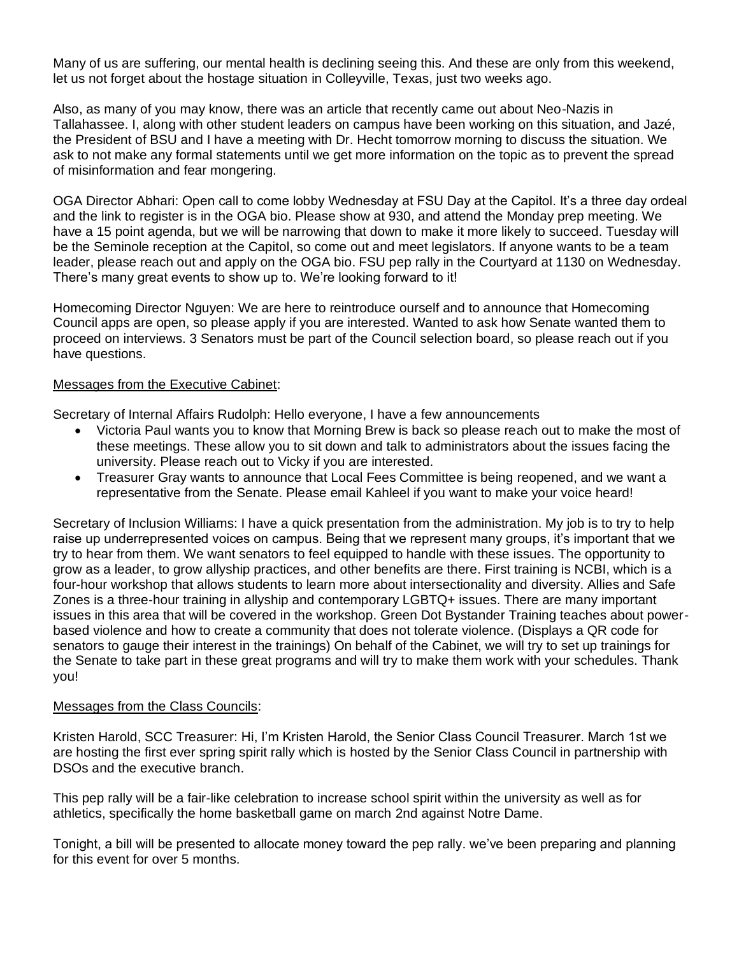Many of us are suffering, our mental health is declining seeing this. And these are only from this weekend, let us not forget about the hostage situation in Colleyville, Texas, just two weeks ago.

Also, as many of you may know, there was an article that recently came out about Neo-Nazis in Tallahassee. I, along with other student leaders on campus have been working on this situation, and Jazé, the President of BSU and I have a meeting with Dr. Hecht tomorrow morning to discuss the situation. We ask to not make any formal statements until we get more information on the topic as to prevent the spread of misinformation and fear mongering.

OGA Director Abhari: Open call to come lobby Wednesday at FSU Day at the Capitol. It's a three day ordeal and the link to register is in the OGA bio. Please show at 930, and attend the Monday prep meeting. We have a 15 point agenda, but we will be narrowing that down to make it more likely to succeed. Tuesday will be the Seminole reception at the Capitol, so come out and meet legislators. If anyone wants to be a team leader, please reach out and apply on the OGA bio. FSU pep rally in the Courtyard at 1130 on Wednesday. There's many great events to show up to. We're looking forward to it!

Homecoming Director Nguyen: We are here to reintroduce ourself and to announce that Homecoming Council apps are open, so please apply if you are interested. Wanted to ask how Senate wanted them to proceed on interviews. 3 Senators must be part of the Council selection board, so please reach out if you have questions.

#### Messages from the Executive Cabinet:

Secretary of Internal Affairs Rudolph: Hello everyone, I have a few announcements

- Victoria Paul wants you to know that Morning Brew is back so please reach out to make the most of these meetings. These allow you to sit down and talk to administrators about the issues facing the university. Please reach out to Vicky if you are interested.
- Treasurer Gray wants to announce that Local Fees Committee is being reopened, and we want a representative from the Senate. Please email Kahleel if you want to make your voice heard!

Secretary of Inclusion Williams: I have a quick presentation from the administration. My job is to try to help raise up underrepresented voices on campus. Being that we represent many groups, it's important that we try to hear from them. We want senators to feel equipped to handle with these issues. The opportunity to grow as a leader, to grow allyship practices, and other benefits are there. First training is NCBI, which is a four-hour workshop that allows students to learn more about intersectionality and diversity. Allies and Safe Zones is a three-hour training in allyship and contemporary LGBTQ+ issues. There are many important issues in this area that will be covered in the workshop. Green Dot Bystander Training teaches about powerbased violence and how to create a community that does not tolerate violence. (Displays a QR code for senators to gauge their interest in the trainings) On behalf of the Cabinet, we will try to set up trainings for the Senate to take part in these great programs and will try to make them work with your schedules. Thank you!

#### Messages from the Class Councils:

Kristen Harold, SCC Treasurer: Hi, I'm Kristen Harold, the Senior Class Council Treasurer. March 1st we are hosting the first ever spring spirit rally which is hosted by the Senior Class Council in partnership with DSOs and the executive branch.

This pep rally will be a fair-like celebration to increase school spirit within the university as well as for athletics, specifically the home basketball game on march 2nd against Notre Dame.

Tonight, a bill will be presented to allocate money toward the pep rally. we've been preparing and planning for this event for over 5 months.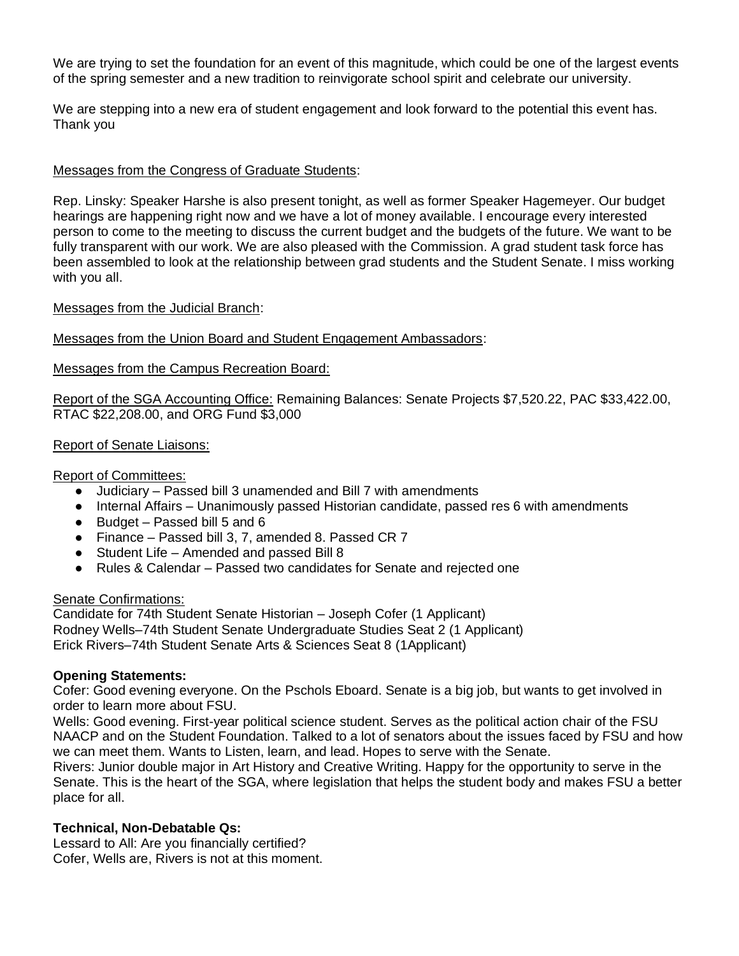We are trying to set the foundation for an event of this magnitude, which could be one of the largest events of the spring semester and a new tradition to reinvigorate school spirit and celebrate our university.

We are stepping into a new era of student engagement and look forward to the potential this event has. Thank you

## Messages from the Congress of Graduate Students:

Rep. Linsky: Speaker Harshe is also present tonight, as well as former Speaker Hagemeyer. Our budget hearings are happening right now and we have a lot of money available. I encourage every interested person to come to the meeting to discuss the current budget and the budgets of the future. We want to be fully transparent with our work. We are also pleased with the Commission. A grad student task force has been assembled to look at the relationship between grad students and the Student Senate. I miss working with you all.

#### Messages from the Judicial Branch:

## Messages from the Union Board and Student Engagement Ambassadors:

#### Messages from the Campus Recreation Board:

Report of the SGA Accounting Office: Remaining Balances: Senate Projects \$7,520.22, PAC \$33,422.00, RTAC \$22,208.00, and ORG Fund \$3,000

#### Report of Senate Liaisons:

#### Report of Committees:

- Judiciary Passed bill 3 unamended and Bill 7 with amendments
- Internal Affairs Unanimously passed Historian candidate, passed res 6 with amendments
- $\bullet$  Budget Passed bill 5 and 6
- Finance Passed bill 3, 7, amended 8. Passed CR 7
- Student Life Amended and passed Bill 8
- Rules & Calendar Passed two candidates for Senate and rejected one

#### Senate Confirmations:

Candidate for 74th Student Senate Historian – Joseph Cofer (1 Applicant) Rodney Wells–74th Student Senate Undergraduate Studies Seat 2 (1 Applicant) Erick Rivers–74th Student Senate Arts & Sciences Seat 8 (1Applicant)

#### **Opening Statements:**

Cofer: Good evening everyone. On the Pschols Eboard. Senate is a big job, but wants to get involved in order to learn more about FSU.

Wells: Good evening. First-year political science student. Serves as the political action chair of the FSU NAACP and on the Student Foundation. Talked to a lot of senators about the issues faced by FSU and how we can meet them. Wants to Listen, learn, and lead. Hopes to serve with the Senate.

Rivers: Junior double major in Art History and Creative Writing. Happy for the opportunity to serve in the Senate. This is the heart of the SGA, where legislation that helps the student body and makes FSU a better place for all.

#### **Technical, Non-Debatable Qs:**

Lessard to All: Are you financially certified? Cofer, Wells are, Rivers is not at this moment.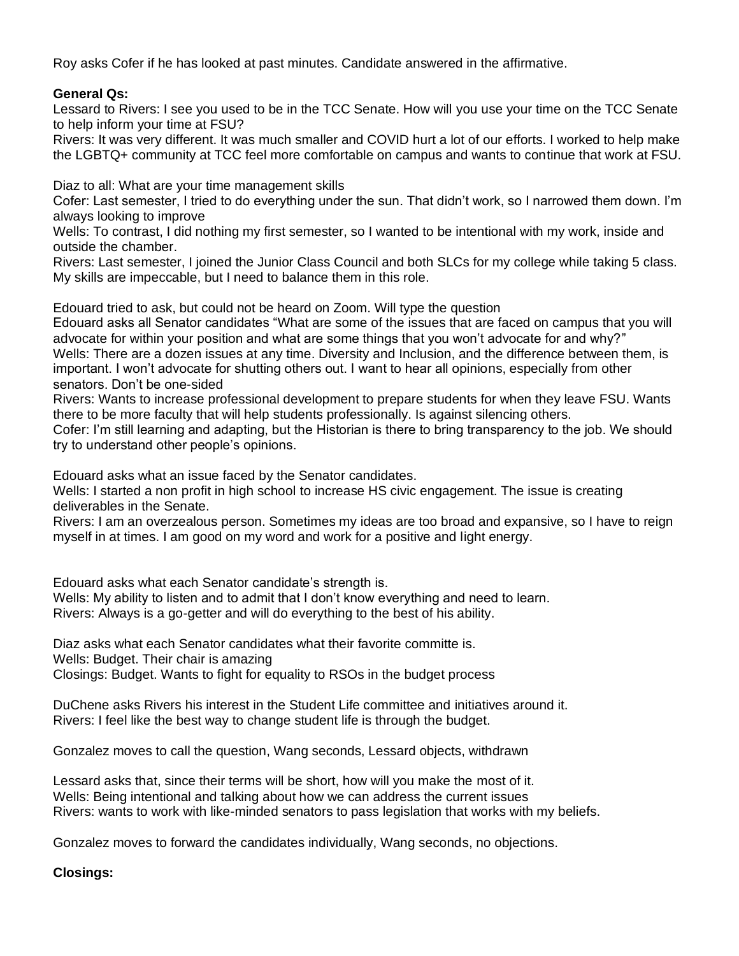Roy asks Cofer if he has looked at past minutes. Candidate answered in the affirmative.

## **General Qs:**

Lessard to Rivers: I see you used to be in the TCC Senate. How will you use your time on the TCC Senate to help inform your time at FSU?

Rivers: It was very different. It was much smaller and COVID hurt a lot of our efforts. I worked to help make the LGBTQ+ community at TCC feel more comfortable on campus and wants to continue that work at FSU.

Diaz to all: What are your time management skills

Cofer: Last semester, I tried to do everything under the sun. That didn't work, so I narrowed them down. I'm always looking to improve

Wells: To contrast, I did nothing my first semester, so I wanted to be intentional with my work, inside and outside the chamber.

Rivers: Last semester, I joined the Junior Class Council and both SLCs for my college while taking 5 class. My skills are impeccable, but I need to balance them in this role.

Edouard tried to ask, but could not be heard on Zoom. Will type the question

Edouard asks all Senator candidates "What are some of the issues that are faced on campus that you will advocate for within your position and what are some things that you won't advocate for and why?" Wells: There are a dozen issues at any time. Diversity and Inclusion, and the difference between them, is important. I won't advocate for shutting others out. I want to hear all opinions, especially from other senators. Don't be one-sided

Rivers: Wants to increase professional development to prepare students for when they leave FSU. Wants there to be more faculty that will help students professionally. Is against silencing others.

Cofer: I'm still learning and adapting, but the Historian is there to bring transparency to the job. We should try to understand other people's opinions.

Edouard asks what an issue faced by the Senator candidates.

Wells: I started a non profit in high school to increase HS civic engagement. The issue is creating deliverables in the Senate.

Rivers: I am an overzealous person. Sometimes my ideas are too broad and expansive, so I have to reign myself in at times. I am good on my word and work for a positive and light energy.

Edouard asks what each Senator candidate's strength is.

Wells: My ability to listen and to admit that I don't know everything and need to learn. Rivers: Always is a go-getter and will do everything to the best of his ability.

Diaz asks what each Senator candidates what their favorite committe is. Wells: Budget. Their chair is amazing

Closings: Budget. Wants to fight for equality to RSOs in the budget process

DuChene asks Rivers his interest in the Student Life committee and initiatives around it. Rivers: I feel like the best way to change student life is through the budget.

Gonzalez moves to call the question, Wang seconds, Lessard objects, withdrawn

Lessard asks that, since their terms will be short, how will you make the most of it. Wells: Being intentional and talking about how we can address the current issues Rivers: wants to work with like-minded senators to pass legislation that works with my beliefs.

Gonzalez moves to forward the candidates individually, Wang seconds, no objections.

**Closings:**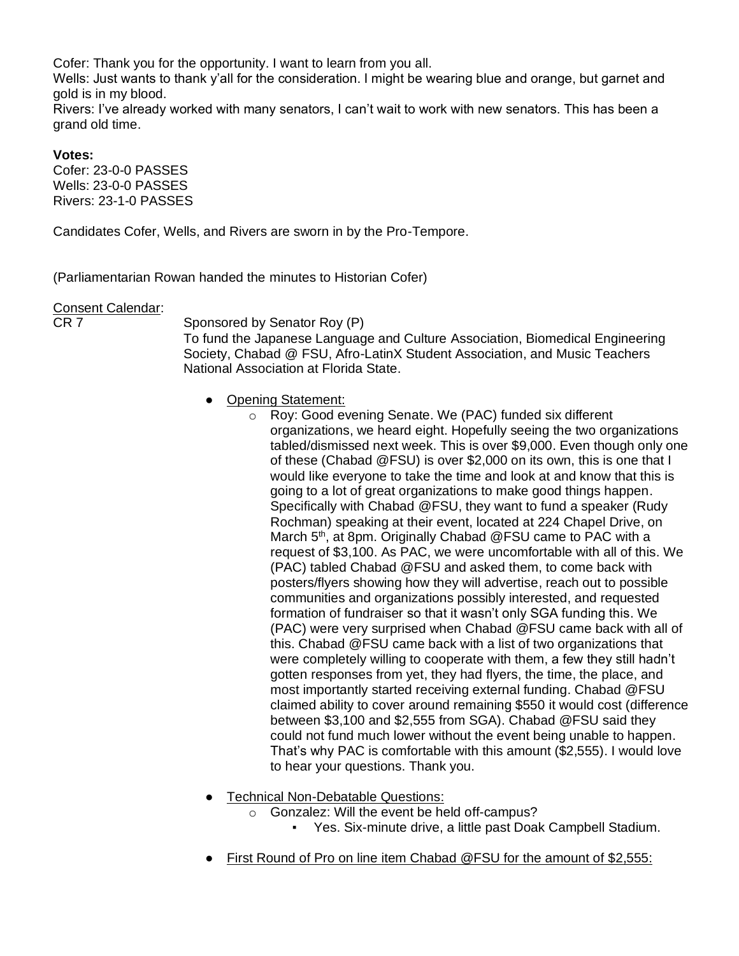Cofer: Thank you for the opportunity. I want to learn from you all.

Wells: Just wants to thank y'all for the consideration. I might be wearing blue and orange, but garnet and gold is in my blood.

Rivers: I've already worked with many senators, I can't wait to work with new senators. This has been a grand old time.

## **Votes:**

Cofer: 23-0-0 PASSES Wells: 23-0-0 PASSES Rivers: 23-1-0 PASSES

Candidates Cofer, Wells, and Rivers are sworn in by the Pro-Tempore.

(Parliamentarian Rowan handed the minutes to Historian Cofer)

#### Consent Calendar:

CR 7 Sponsored by Senator Roy (P)

To fund the Japanese Language and Culture Association, Biomedical Engineering Society, Chabad @ FSU, Afro-LatinX Student Association, and Music Teachers National Association at Florida State.

- Opening Statement:
	- o Roy: Good evening Senate. We (PAC) funded six different organizations, we heard eight. Hopefully seeing the two organizations tabled/dismissed next week. This is over \$9,000. Even though only one of these (Chabad @FSU) is over \$2,000 on its own, this is one that I would like everyone to take the time and look at and know that this is going to a lot of great organizations to make good things happen. Specifically with Chabad @FSU, they want to fund a speaker (Rudy Rochman) speaking at their event, located at 224 Chapel Drive, on March 5<sup>th</sup>, at 8pm. Originally Chabad @FSU came to PAC with a request of \$3,100. As PAC, we were uncomfortable with all of this. We (PAC) tabled Chabad @FSU and asked them, to come back with posters/flyers showing how they will advertise, reach out to possible communities and organizations possibly interested, and requested formation of fundraiser so that it wasn't only SGA funding this. We (PAC) were very surprised when Chabad @FSU came back with all of this. Chabad @FSU came back with a list of two organizations that were completely willing to cooperate with them, a few they still hadn't gotten responses from yet, they had flyers, the time, the place, and most importantly started receiving external funding. Chabad @FSU claimed ability to cover around remaining \$550 it would cost (difference between \$3,100 and \$2,555 from SGA). Chabad @FSU said they could not fund much lower without the event being unable to happen. That's why PAC is comfortable with this amount (\$2,555). I would love to hear your questions. Thank you.
- **Technical Non-Debatable Questions:** 
	- Gonzalez: Will the event be held off-campus?
		- Yes. Six-minute drive, a little past Doak Campbell Stadium.
- First Round of Pro on line item Chabad @FSU for the amount of \$2,555: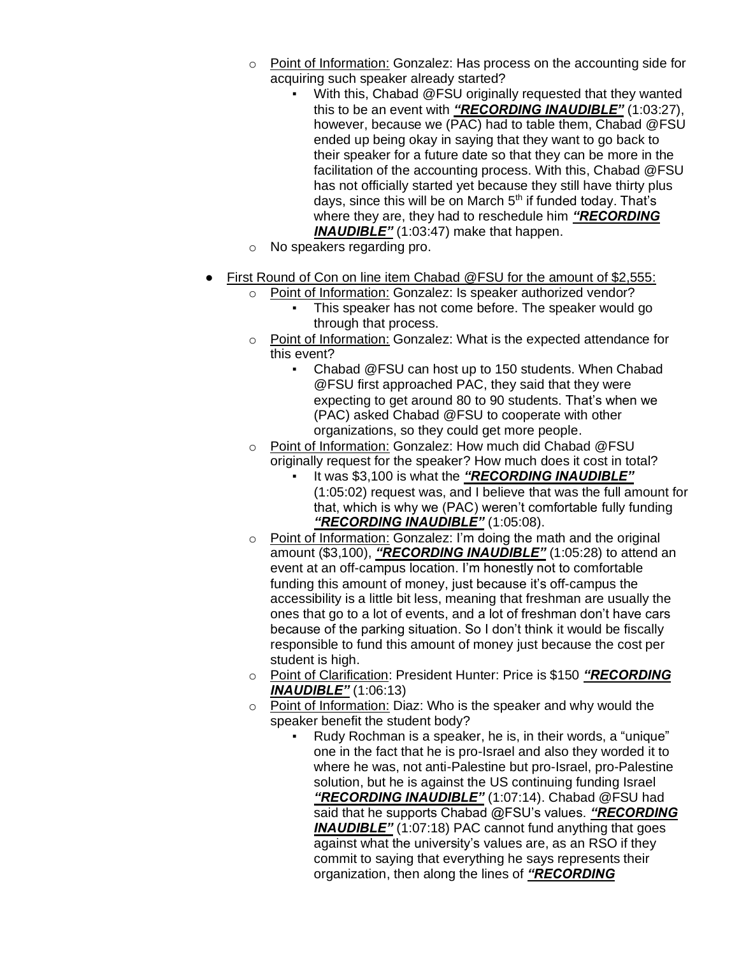- o Point of Information: Gonzalez: Has process on the accounting side for acquiring such speaker already started?
	- With this, Chabad @FSU originally requested that they wanted this to be an event with *"RECORDING INAUDIBLE"* (1:03:27), however, because we (PAC) had to table them, Chabad @FSU ended up being okay in saying that they want to go back to their speaker for a future date so that they can be more in the facilitation of the accounting process. With this, Chabad @FSU has not officially started yet because they still have thirty plus days, since this will be on March  $5<sup>th</sup>$  if funded today. That's where they are, they had to reschedule him *"RECORDING INAUDIBLE"* (1:03:47) make that happen.
- o No speakers regarding pro.
- First Round of Con on line item Chabad @FSU for the amount of \$2,555:
	- o Point of Information: Gonzalez: Is speaker authorized vendor?
		- This speaker has not come before. The speaker would go through that process.
	- o Point of Information: Gonzalez: What is the expected attendance for this event?
		- Chabad @FSU can host up to 150 students. When Chabad @FSU first approached PAC, they said that they were expecting to get around 80 to 90 students. That's when we (PAC) asked Chabad @FSU to cooperate with other organizations, so they could get more people.
	- o Point of Information: Gonzalez: How much did Chabad @FSU originally request for the speaker? How much does it cost in total?
		- It was \$3,100 is what the "RECORDING INAUDIBLE" (1:05:02) request was, and I believe that was the full amount for that, which is why we (PAC) weren't comfortable fully funding *"RECORDING INAUDIBLE"* (1:05:08).
	- o Point of Information: Gonzalez: I'm doing the math and the original amount (\$3,100), *"RECORDING INAUDIBLE"* (1:05:28) to attend an event at an off-campus location. I'm honestly not to comfortable funding this amount of money, just because it's off-campus the accessibility is a little bit less, meaning that freshman are usually the ones that go to a lot of events, and a lot of freshman don't have cars because of the parking situation. So I don't think it would be fiscally responsible to fund this amount of money just because the cost per student is high.
	- o Point of Clarification: President Hunter: Price is \$150 *"RECORDING INAUDIBLE"* (1:06:13)
	- $\circ$  Point of Information: Diaz: Who is the speaker and why would the speaker benefit the student body?
		- Rudy Rochman is a speaker, he is, in their words, a "unique" one in the fact that he is pro-Israel and also they worded it to where he was, not anti-Palestine but pro-Israel, pro-Palestine solution, but he is against the US continuing funding Israel *"RECORDING INAUDIBLE"* (1:07:14). Chabad @FSU had said that he supports Chabad @FSU's values. *"RECORDING INAUDIBLE"* (1:07:18) PAC cannot fund anything that goes against what the university's values are, as an RSO if they commit to saying that everything he says represents their organization, then along the lines of *"RECORDING*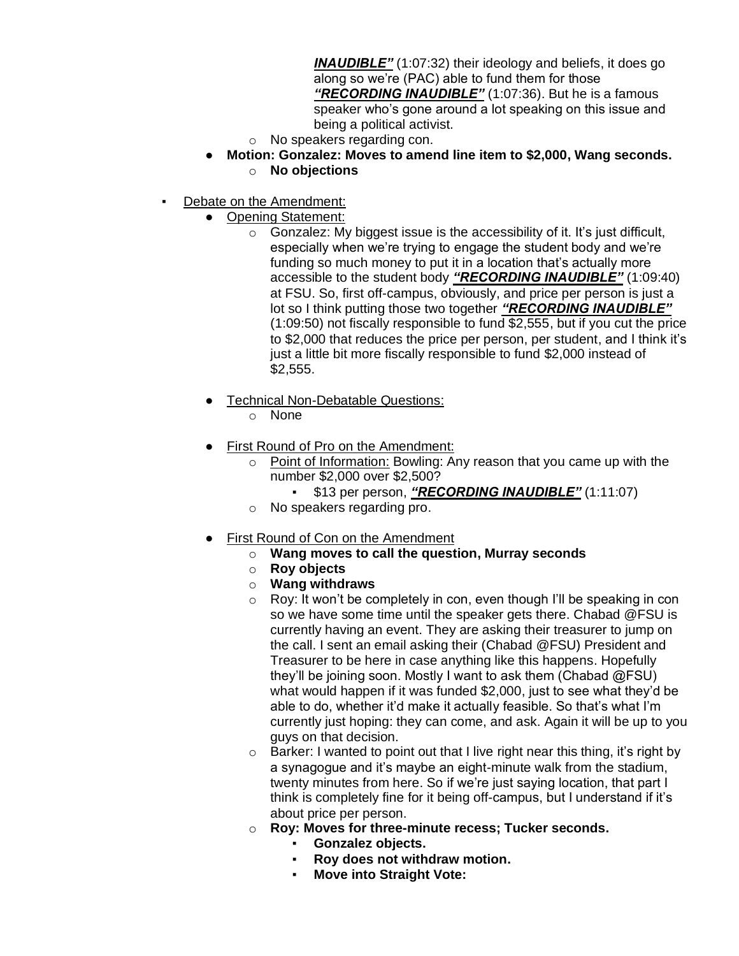*INAUDIBLE"* (1:07:32) their ideology and beliefs, it does go along so we're (PAC) able to fund them for those *"RECORDING INAUDIBLE"* (1:07:36). But he is a famous speaker who's gone around a lot speaking on this issue and being a political activist.

- o No speakers regarding con.
- **Motion: Gonzalez: Moves to amend line item to \$2,000, Wang seconds.** o **No objections**
- Debate on the Amendment:
	- **Opening Statement:** 
		- $\circ$  Gonzalez: My biggest issue is the accessibility of it. It's just difficult, especially when we're trying to engage the student body and we're funding so much money to put it in a location that's actually more accessible to the student body *"RECORDING INAUDIBLE"* (1:09:40) at FSU. So, first off-campus, obviously, and price per person is just a lot so I think putting those two together *"RECORDING INAUDIBLE"* (1:09:50) not fiscally responsible to fund \$2,555, but if you cut the price to \$2,000 that reduces the price per person, per student, and I think it's just a little bit more fiscally responsible to fund \$2,000 instead of \$2,555.
	- **Technical Non-Debatable Questions:** 
		- o None
	- First Round of Pro on the Amendment:
		- $\circ$  Point of Information: Bowling: Any reason that you came up with the number \$2,000 over \$2,500?
			- \$13 per person, *"RECORDING INAUDIBLE"* (1:11:07)
		- o No speakers regarding pro.
	- **First Round of Con on the Amendment** 
		- o **Wang moves to call the question, Murray seconds**
			- o **Roy objects**
			- o **Wang withdraws**
			- o Roy: It won't be completely in con, even though I'll be speaking in con so we have some time until the speaker gets there. Chabad @FSU is currently having an event. They are asking their treasurer to jump on the call. I sent an email asking their (Chabad @FSU) President and Treasurer to be here in case anything like this happens. Hopefully they'll be joining soon. Mostly I want to ask them (Chabad @FSU) what would happen if it was funded \$2,000, just to see what they'd be able to do, whether it'd make it actually feasible. So that's what I'm currently just hoping: they can come, and ask. Again it will be up to you guys on that decision.
			- $\circ$  Barker: I wanted to point out that I live right near this thing, it's right by a synagogue and it's maybe an eight-minute walk from the stadium, twenty minutes from here. So if we're just saying location, that part I think is completely fine for it being off-campus, but I understand if it's about price per person.
		- o **Roy: Moves for three-minute recess; Tucker seconds.**
			- **Gonzalez objects.**
			- **Roy does not withdraw motion.**
			- **Move into Straight Vote:**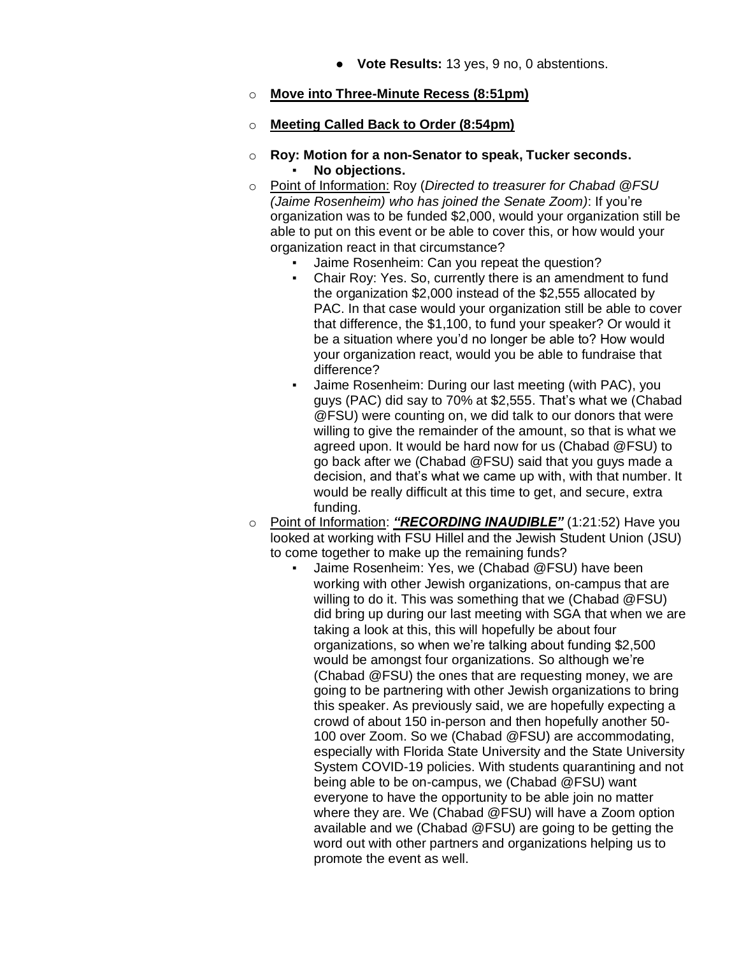● **Vote Results:** 13 yes, 9 no, 0 abstentions.

## o **Move into Three-Minute Recess (8:51pm)**

#### o **Meeting Called Back to Order (8:54pm)**

- o **Roy: Motion for a non-Senator to speak, Tucker seconds.** No objections.
- o Point of Information: Roy (*Directed to treasurer for Chabad @FSU (Jaime Rosenheim) who has joined the Senate Zoom)*: If you're organization was to be funded \$2,000, would your organization still be able to put on this event or be able to cover this, or how would your organization react in that circumstance?
	- Jaime Rosenheim: Can you repeat the question?
	- Chair Roy: Yes. So, currently there is an amendment to fund the organization \$2,000 instead of the \$2,555 allocated by PAC. In that case would your organization still be able to cover that difference, the \$1,100, to fund your speaker? Or would it be a situation where you'd no longer be able to? How would your organization react, would you be able to fundraise that difference?
	- Jaime Rosenheim: During our last meeting (with PAC), you guys (PAC) did say to 70% at \$2,555. That's what we (Chabad @FSU) were counting on, we did talk to our donors that were willing to give the remainder of the amount, so that is what we agreed upon. It would be hard now for us (Chabad @FSU) to go back after we (Chabad @FSU) said that you guys made a decision, and that's what we came up with, with that number. It would be really difficult at this time to get, and secure, extra funding.
- o Point of Information: *"RECORDING INAUDIBLE"* (1:21:52) Have you looked at working with FSU Hillel and the Jewish Student Union (JSU) to come together to make up the remaining funds?
	- Jaime Rosenheim: Yes, we (Chabad @FSU) have been working with other Jewish organizations, on-campus that are willing to do it. This was something that we (Chabad @FSU) did bring up during our last meeting with SGA that when we are taking a look at this, this will hopefully be about four organizations, so when we're talking about funding \$2,500 would be amongst four organizations. So although we're (Chabad @FSU) the ones that are requesting money, we are going to be partnering with other Jewish organizations to bring this speaker. As previously said, we are hopefully expecting a crowd of about 150 in-person and then hopefully another 50- 100 over Zoom. So we (Chabad @FSU) are accommodating, especially with Florida State University and the State University System COVID-19 policies. With students quarantining and not being able to be on-campus, we (Chabad @FSU) want everyone to have the opportunity to be able join no matter where they are. We (Chabad @FSU) will have a Zoom option available and we (Chabad @FSU) are going to be getting the word out with other partners and organizations helping us to promote the event as well.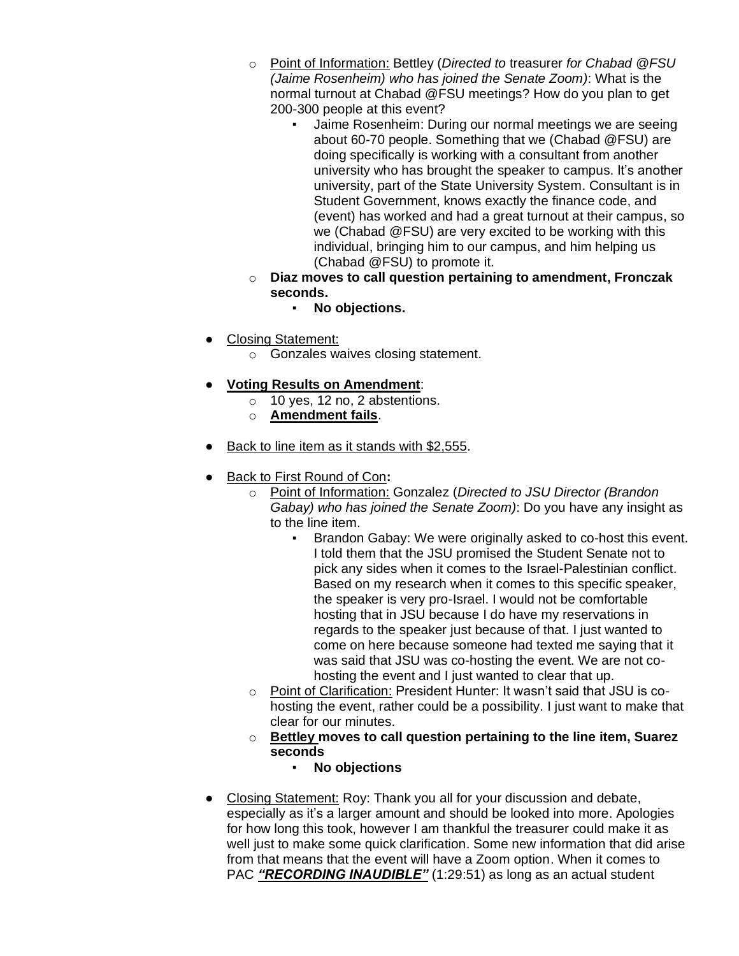- o Point of Information: Bettley (*Directed to* treasurer *for Chabad @FSU (Jaime Rosenheim) who has joined the Senate Zoom)*: What is the normal turnout at Chabad @FSU meetings? How do you plan to get 200-300 people at this event?
	- Jaime Rosenheim: During our normal meetings we are seeing about 60-70 people. Something that we (Chabad @FSU) are doing specifically is working with a consultant from another university who has brought the speaker to campus. It's another university, part of the State University System. Consultant is in Student Government, knows exactly the finance code, and (event) has worked and had a great turnout at their campus, so we (Chabad @FSU) are very excited to be working with this individual, bringing him to our campus, and him helping us (Chabad @FSU) to promote it.
- o **Diaz moves to call question pertaining to amendment, Fronczak seconds.**
	- **No objections.**
- Closing Statement:
	- o Gonzales waives closing statement.
- **Voting Results on Amendment**:
	- o 10 yes, 12 no, 2 abstentions.
	- o **Amendment fails**.
- Back to line item as it stands with \$2,555.
- Back to First Round of Con**:**
	- o Point of Information: Gonzalez (*Directed to JSU Director (Brandon Gabay) who has joined the Senate Zoom)*: Do you have any insight as to the line item.
		- Brandon Gabay: We were originally asked to co-host this event. I told them that the JSU promised the Student Senate not to pick any sides when it comes to the Israel-Palestinian conflict. Based on my research when it comes to this specific speaker, the speaker is very pro-Israel. I would not be comfortable hosting that in JSU because I do have my reservations in regards to the speaker just because of that. I just wanted to come on here because someone had texted me saying that it was said that JSU was co-hosting the event. We are not cohosting the event and I just wanted to clear that up.
	- o Point of Clarification: President Hunter: It wasn't said that JSU is cohosting the event, rather could be a possibility. I just want to make that clear for our minutes.
	- o **Bettley moves to call question pertaining to the line item, Suarez seconds**
		- **No objections**
- Closing Statement: Roy: Thank you all for your discussion and debate, especially as it's a larger amount and should be looked into more. Apologies for how long this took, however I am thankful the treasurer could make it as well just to make some quick clarification. Some new information that did arise from that means that the event will have a Zoom option. When it comes to PAC "RECORDING INAUDIBLE" (1:29:51) as long as an actual student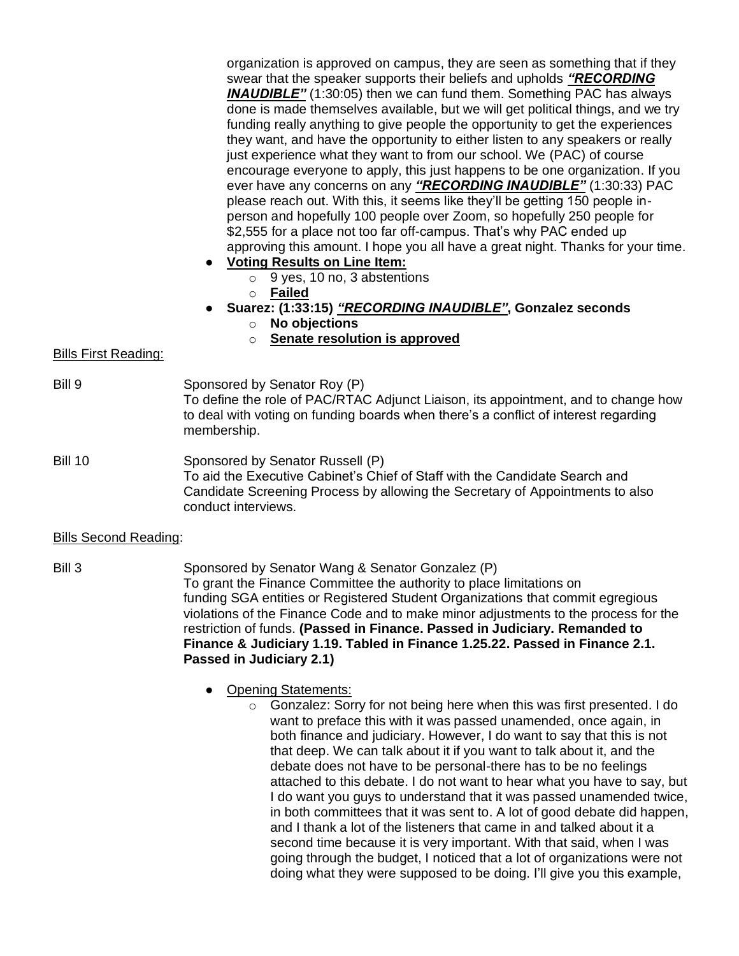organization is approved on campus, they are seen as something that if they swear that the speaker supports their beliefs and upholds *"RECORDING*  **INAUDIBLE"** (1:30:05) then we can fund them. Something PAC has always done is made themselves available, but we will get political things, and we try funding really anything to give people the opportunity to get the experiences they want, and have the opportunity to either listen to any speakers or really just experience what they want to from our school. We (PAC) of course encourage everyone to apply, this just happens to be one organization. If you ever have any concerns on any *"RECORDING INAUDIBLE"* (1:30:33) PAC please reach out. With this, it seems like they'll be getting 150 people inperson and hopefully 100 people over Zoom, so hopefully 250 people for \$2,555 for a place not too far off-campus. That's why PAC ended up approving this amount. I hope you all have a great night. Thanks for your time.

- **Voting Results on Line Item:**
	- $\circ$  9 yes, 10 no, 3 abstentions
	- o **Failed**
- **Suarez: (1:33:15)** *"RECORDING INAUDIBLE"***, Gonzalez seconds**
	- o **No objections**
	- o **Senate resolution is approved**

## Bills First Reading:

- Bill 9 Sponsored by Senator Roy (P) To define the role of PAC/RTAC Adjunct Liaison, its appointment, and to change how to deal with voting on funding boards when there's a conflict of interest regarding membership.
- Bill 10 Sponsored by Senator Russell (P) To aid the Executive Cabinet's Chief of Staff with the Candidate Search and Candidate Screening Process by allowing the Secretary of Appointments to also conduct interviews.

## Bills Second Reading:

- Bill 3 Sponsored by Senator Wang & Senator Gonzalez (P) To grant the Finance Committee the authority to place limitations on funding SGA entities or Registered Student Organizations that commit egregious violations of the Finance Code and to make minor adjustments to the process for the restriction of funds. **(Passed in Finance. Passed in Judiciary. Remanded to Finance & Judiciary 1.19. Tabled in Finance 1.25.22. Passed in Finance 2.1. Passed in Judiciary 2.1)**
	- Opening Statements:
		- o Gonzalez: Sorry for not being here when this was first presented. I do want to preface this with it was passed unamended, once again, in both finance and judiciary. However, I do want to say that this is not that deep. We can talk about it if you want to talk about it, and the debate does not have to be personal-there has to be no feelings attached to this debate. I do not want to hear what you have to say, but I do want you guys to understand that it was passed unamended twice, in both committees that it was sent to. A lot of good debate did happen, and I thank a lot of the listeners that came in and talked about it a second time because it is very important. With that said, when I was going through the budget, I noticed that a lot of organizations were not doing what they were supposed to be doing. I'll give you this example,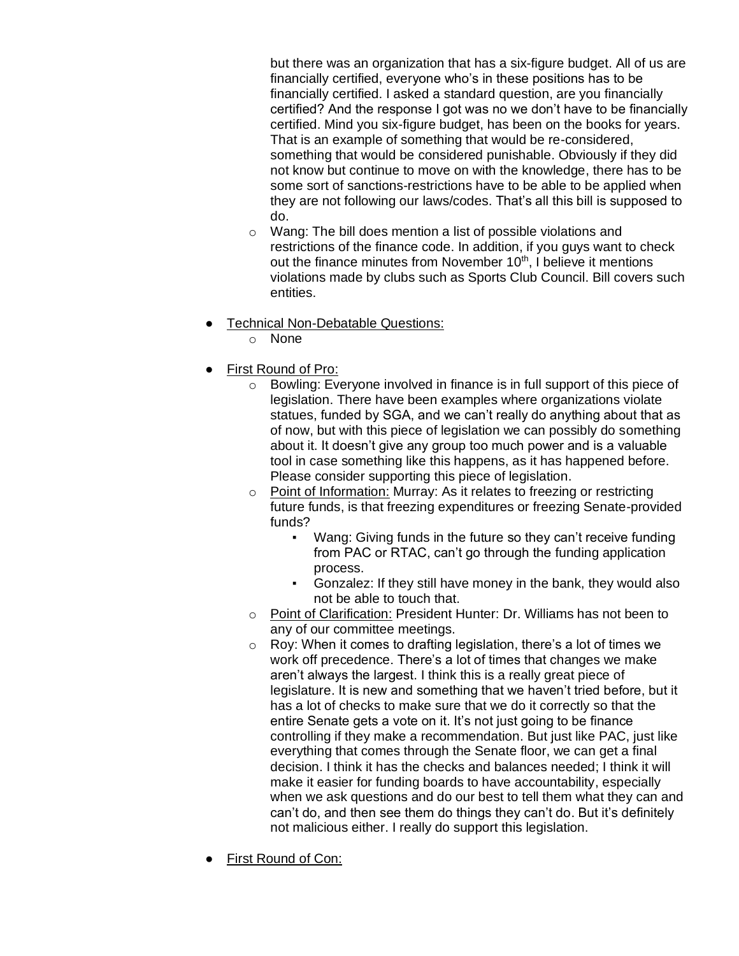but there was an organization that has a six-figure budget. All of us are financially certified, everyone who's in these positions has to be financially certified. I asked a standard question, are you financially certified? And the response I got was no we don't have to be financially certified. Mind you six-figure budget, has been on the books for years. That is an example of something that would be re-considered, something that would be considered punishable. Obviously if they did not know but continue to move on with the knowledge, there has to be some sort of sanctions-restrictions have to be able to be applied when they are not following our laws/codes. That's all this bill is supposed to do.

- o Wang: The bill does mention a list of possible violations and restrictions of the finance code. In addition, if you guys want to check out the finance minutes from November 10<sup>th</sup>, I believe it mentions violations made by clubs such as Sports Club Council. Bill covers such entities.
- **Technical Non-Debatable Questions:** 
	- o None
- First Round of Pro:
	- o Bowling: Everyone involved in finance is in full support of this piece of legislation. There have been examples where organizations violate statues, funded by SGA, and we can't really do anything about that as of now, but with this piece of legislation we can possibly do something about it. It doesn't give any group too much power and is a valuable tool in case something like this happens, as it has happened before. Please consider supporting this piece of legislation.
	- o Point of Information: Murray: As it relates to freezing or restricting future funds, is that freezing expenditures or freezing Senate-provided funds?
		- Wang: Giving funds in the future so they can't receive funding from PAC or RTAC, can't go through the funding application process.
		- Gonzalez: If they still have money in the bank, they would also not be able to touch that.
	- o Point of Clarification: President Hunter: Dr. Williams has not been to any of our committee meetings.
	- $\circ$  Roy: When it comes to drafting legislation, there's a lot of times we work off precedence. There's a lot of times that changes we make aren't always the largest. I think this is a really great piece of legislature. It is new and something that we haven't tried before, but it has a lot of checks to make sure that we do it correctly so that the entire Senate gets a vote on it. It's not just going to be finance controlling if they make a recommendation. But just like PAC, just like everything that comes through the Senate floor, we can get a final decision. I think it has the checks and balances needed; I think it will make it easier for funding boards to have accountability, especially when we ask questions and do our best to tell them what they can and can't do, and then see them do things they can't do. But it's definitely not malicious either. I really do support this legislation.
- **First Round of Con:**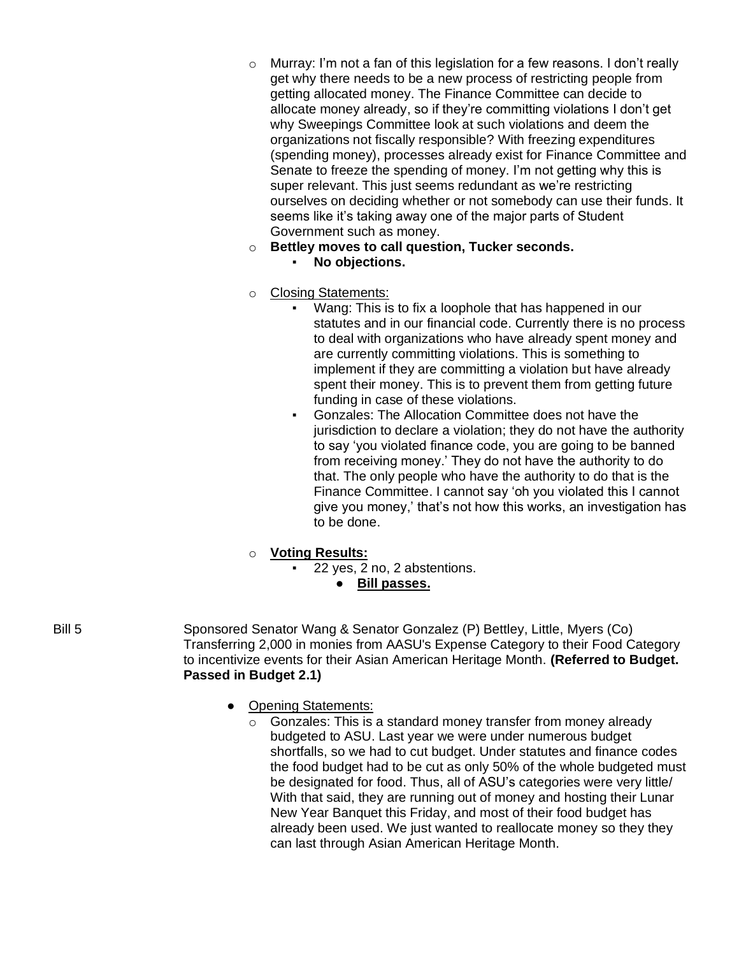- $\circ$  Murray: I'm not a fan of this legislation for a few reasons. I don't really get why there needs to be a new process of restricting people from getting allocated money. The Finance Committee can decide to allocate money already, so if they're committing violations I don't get why Sweepings Committee look at such violations and deem the organizations not fiscally responsible? With freezing expenditures (spending money), processes already exist for Finance Committee and Senate to freeze the spending of money. I'm not getting why this is super relevant. This just seems redundant as we're restricting ourselves on deciding whether or not somebody can use their funds. It seems like it's taking away one of the major parts of Student Government such as money.
- o **Bettley moves to call question, Tucker seconds.**
	- No objections.
- o Closing Statements:
	- Wang: This is to fix a loophole that has happened in our statutes and in our financial code. Currently there is no process to deal with organizations who have already spent money and are currently committing violations. This is something to implement if they are committing a violation but have already spent their money. This is to prevent them from getting future funding in case of these violations.
	- Gonzales: The Allocation Committee does not have the jurisdiction to declare a violation; they do not have the authority to say 'you violated finance code, you are going to be banned from receiving money.' They do not have the authority to do that. The only people who have the authority to do that is the Finance Committee. I cannot say 'oh you violated this I cannot give you money,' that's not how this works, an investigation has to be done.

# o **Voting Results:**

- 22 yes, 2 no, 2 abstentions.
	- **Bill passes.**
- Bill 5 Sponsored Senator Wang & Senator Gonzalez (P) Bettley, Little, Myers (Co) Transferring 2,000 in monies from AASU's Expense Category to their Food Category to incentivize events for their Asian American Heritage Month. **(Referred to Budget. Passed in Budget 2.1)**
	- Opening Statements:
		- o Gonzales: This is a standard money transfer from money already budgeted to ASU. Last year we were under numerous budget shortfalls, so we had to cut budget. Under statutes and finance codes the food budget had to be cut as only 50% of the whole budgeted must be designated for food. Thus, all of ASU's categories were very little/ With that said, they are running out of money and hosting their Lunar New Year Banquet this Friday, and most of their food budget has already been used. We just wanted to reallocate money so they they can last through Asian American Heritage Month.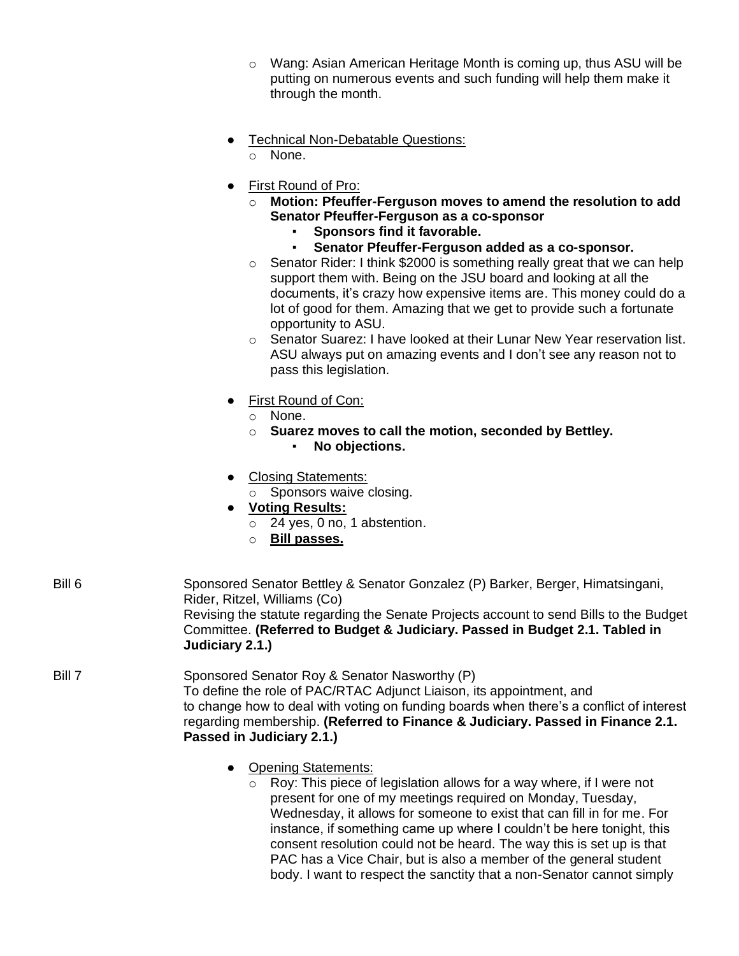| $\circ$ Wang: Asian American Heritage Month is coming up, thus ASU will be |
|----------------------------------------------------------------------------|
| putting on numerous events and such funding will help them make it         |
| through the month.                                                         |

- Technical Non-Debatable Questions:
	- o None.
- First Round of Pro:
	- o **Motion: Pfeuffer-Ferguson moves to amend the resolution to add Senator Pfeuffer-Ferguson as a co-sponsor**
		- **Sponsors find it favorable.**<br>• Senator Pfeuffer-Ferguson
			- Senator Pfeuffer-Ferguson added as a co-sponsor.
	- o Senator Rider: I think \$2000 is something really great that we can help support them with. Being on the JSU board and looking at all the documents, it's crazy how expensive items are. This money could do a lot of good for them. Amazing that we get to provide such a fortunate opportunity to ASU.
	- o Senator Suarez: I have looked at their Lunar New Year reservation list. ASU always put on amazing events and I don't see any reason not to pass this legislation.
- First Round of Con:
	- o None.
	- o **Suarez moves to call the motion, seconded by Bettley.**
		- **No objections.**
- Closing Statements:
	- o Sponsors waive closing.
- **Voting Results:**
	- o 24 yes, 0 no, 1 abstention.
	- o **Bill passes.**

| Bill 6 | Sponsored Senator Bettley & Senator Gonzalez (P) Barker, Berger, Himatsingani,<br>Rider, Ritzel, Williams (Co)<br>Revising the statute regarding the Senate Projects account to send Bills to the Budget<br>Committee. (Referred to Budget & Judiciary. Passed in Budget 2.1. Tabled in<br>Judiciary 2.1.)                      |
|--------|---------------------------------------------------------------------------------------------------------------------------------------------------------------------------------------------------------------------------------------------------------------------------------------------------------------------------------|
| Bill 7 | Sponsored Senator Roy & Senator Nasworthy (P)<br>To define the role of PAC/RTAC Adjunct Liaison, its appointment, and<br>to change how to deal with voting on funding boards when there's a conflict of interest<br>regarding membership. (Referred to Finance & Judiciary. Passed in Finance 2.1.<br>Passed in Judiciary 2.1.) |

- Opening Statements:
	- o Roy: This piece of legislation allows for a way where, if I were not present for one of my meetings required on Monday, Tuesday, Wednesday, it allows for someone to exist that can fill in for me. For instance, if something came up where I couldn't be here tonight, this consent resolution could not be heard. The way this is set up is that PAC has a Vice Chair, but is also a member of the general student body. I want to respect the sanctity that a non-Senator cannot simply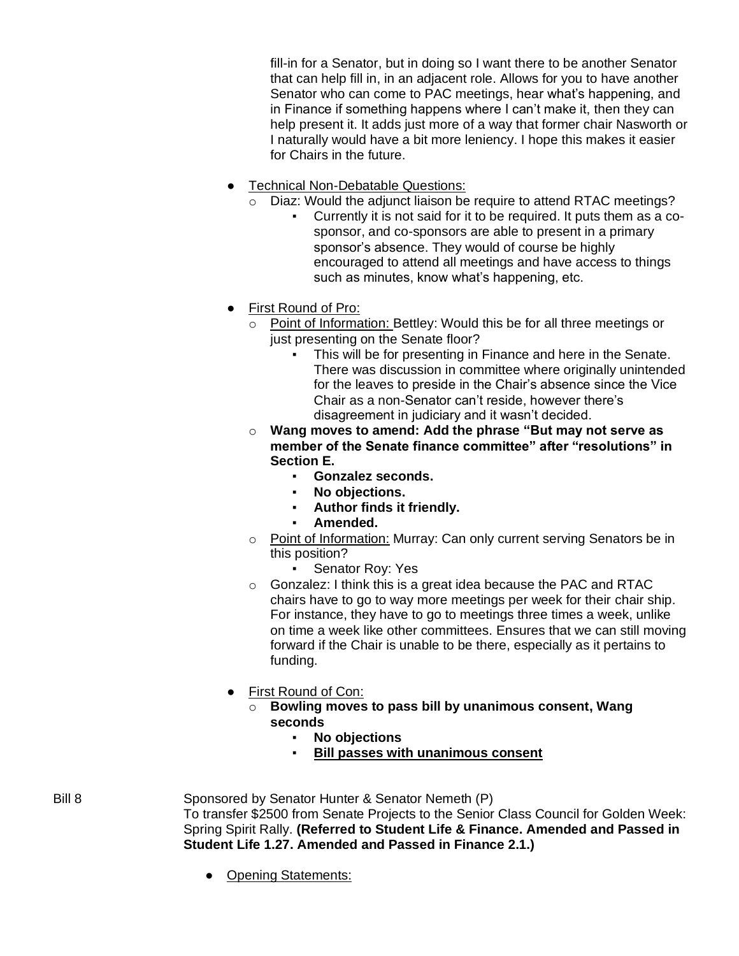fill-in for a Senator, but in doing so I want there to be another Senator that can help fill in, in an adjacent role. Allows for you to have another Senator who can come to PAC meetings, hear what's happening, and in Finance if something happens where I can't make it, then they can help present it. It adds just more of a way that former chair Nasworth or I naturally would have a bit more leniency. I hope this makes it easier for Chairs in the future.

- **•** Technical Non-Debatable Questions:
	- o Diaz: Would the adjunct liaison be require to attend RTAC meetings?
		- Currently it is not said for it to be required. It puts them as a cosponsor, and co-sponsors are able to present in a primary sponsor's absence. They would of course be highly encouraged to attend all meetings and have access to things such as minutes, know what's happening, etc.
- First Round of Pro:
	- o Point of Information: Bettley: Would this be for all three meetings or just presenting on the Senate floor?
		- This will be for presenting in Finance and here in the Senate. There was discussion in committee where originally unintended for the leaves to preside in the Chair's absence since the Vice Chair as a non-Senator can't reside, however there's disagreement in judiciary and it wasn't decided.
	- o **Wang moves to amend: Add the phrase "But may not serve as member of the Senate finance committee" after "resolutions" in Section E.**
		- **Gonzalez seconds.**
		- No objections.
		- Author finds it friendly.
		- Amended.
	- o Point of Information: Murray: Can only current serving Senators be in this position?
		- Senator Roy: Yes
	- o Gonzalez: I think this is a great idea because the PAC and RTAC chairs have to go to way more meetings per week for their chair ship. For instance, they have to go to meetings three times a week, unlike on time a week like other committees. Ensures that we can still moving forward if the Chair is unable to be there, especially as it pertains to funding.
- First Round of Con:
	- o **Bowling moves to pass bill by unanimous consent, Wang seconds**
		- **No objections**
		- **Bill passes with unanimous consent**

Bill 8 Sponsored by Senator Hunter & Senator Nemeth (P) To transfer \$2500 from Senate Projects to the Senior Class Council for Golden Week: Spring Spirit Rally. **(Referred to Student Life & Finance. Amended and Passed in Student Life 1.27. Amended and Passed in Finance 2.1.)**

• Opening Statements: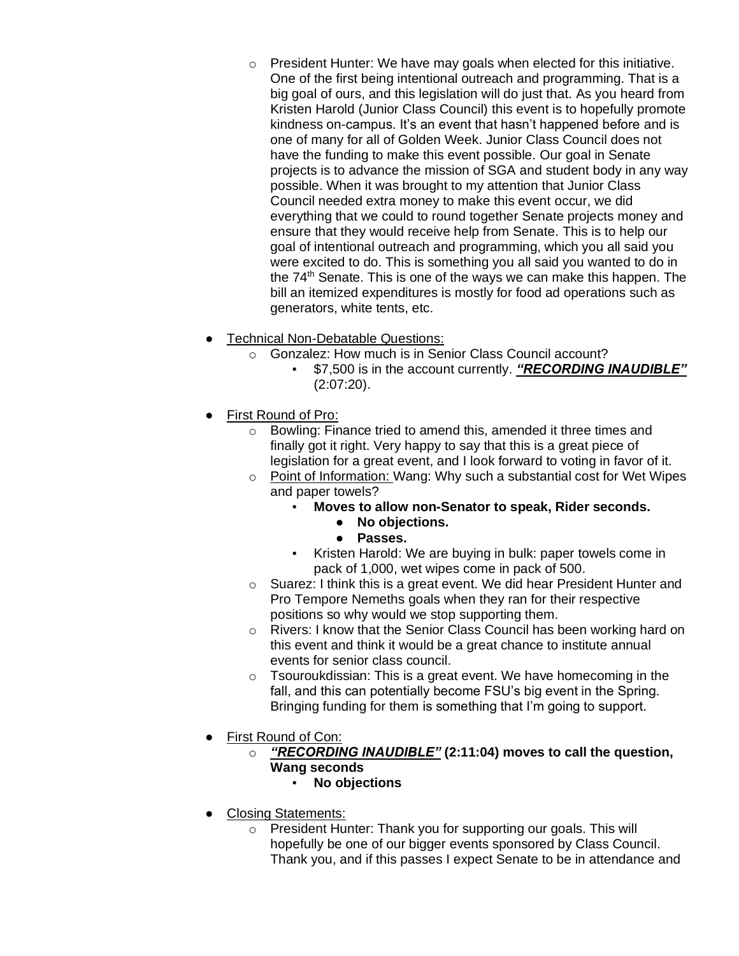- $\circ$  President Hunter: We have may goals when elected for this initiative. One of the first being intentional outreach and programming. That is a big goal of ours, and this legislation will do just that. As you heard from Kristen Harold (Junior Class Council) this event is to hopefully promote kindness on-campus. It's an event that hasn't happened before and is one of many for all of Golden Week. Junior Class Council does not have the funding to make this event possible. Our goal in Senate projects is to advance the mission of SGA and student body in any way possible. When it was brought to my attention that Junior Class Council needed extra money to make this event occur, we did everything that we could to round together Senate projects money and ensure that they would receive help from Senate. This is to help our goal of intentional outreach and programming, which you all said you were excited to do. This is something you all said you wanted to do in the  $74<sup>th</sup>$  Senate. This is one of the ways we can make this happen. The bill an itemized expenditures is mostly for food ad operations such as generators, white tents, etc.
- **Technical Non-Debatable Questions:** 
	- o Gonzalez: How much is in Senior Class Council account?
		- \$7,500 is in the account currently. **"RECORDING INAUDIBLE"** (2:07:20).
- First Round of Pro:
	- o Bowling: Finance tried to amend this, amended it three times and finally got it right. Very happy to say that this is a great piece of legislation for a great event, and I look forward to voting in favor of it.
	- o Point of Information: Wang: Why such a substantial cost for Wet Wipes and paper towels?
		- **Moves to allow non-Senator to speak, Rider seconds.**
			- **No objections.**
			- **Passes.**
		- Kristen Harold: We are buying in bulk: paper towels come in pack of 1,000, wet wipes come in pack of 500.
	- o Suarez: I think this is a great event. We did hear President Hunter and Pro Tempore Nemeths goals when they ran for their respective positions so why would we stop supporting them.
	- o Rivers: I know that the Senior Class Council has been working hard on this event and think it would be a great chance to institute annual events for senior class council.
	- $\circ$  Tsouroukdissian: This is a great event. We have homecoming in the fall, and this can potentially become FSU's big event in the Spring. Bringing funding for them is something that I'm going to support.
- **First Round of Con:** 
	- o *"RECORDING INAUDIBLE"* **(2:11:04) moves to call the question, Wang seconds**
		- **No objections**
- Closing Statements:
	- o President Hunter: Thank you for supporting our goals. This will hopefully be one of our bigger events sponsored by Class Council. Thank you, and if this passes I expect Senate to be in attendance and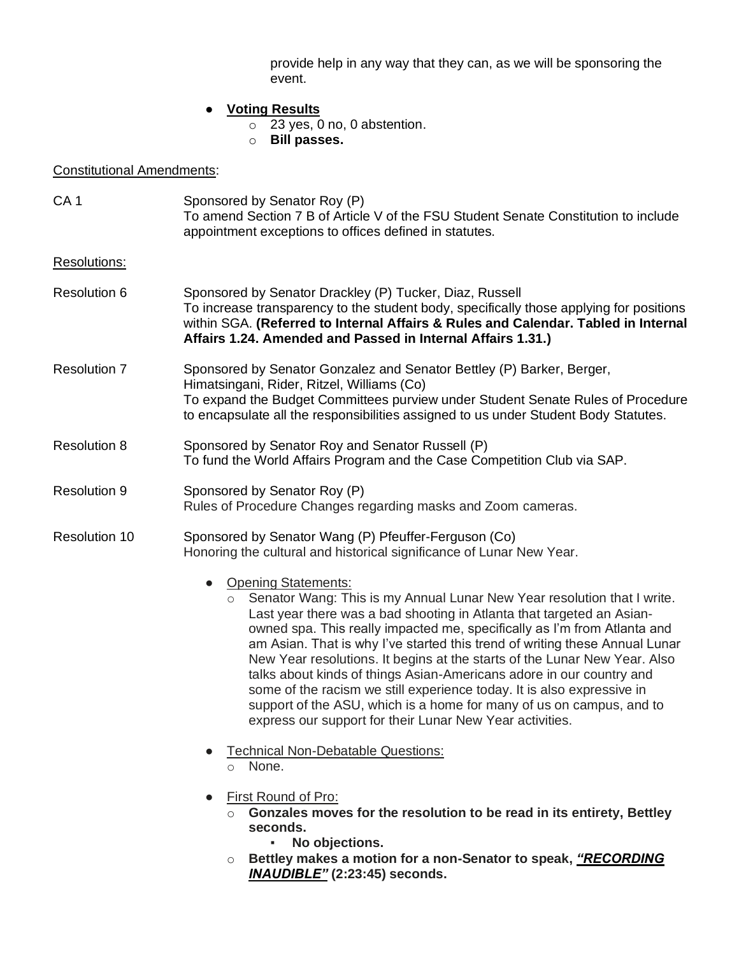provide help in any way that they can, as we will be sponsoring the event.

# ● **Voting Results**

- o 23 yes, 0 no, 0 abstention.
- o **Bill passes.**

# Constitutional Amendments:

| CA <sub>1</sub>      | Sponsored by Senator Roy (P)<br>To amend Section 7 B of Article V of the FSU Student Senate Constitution to include<br>appointment exceptions to offices defined in statutes.                                                                                                                                                                                                                                                                                                                                                                                                                                                                                                                                           |
|----------------------|-------------------------------------------------------------------------------------------------------------------------------------------------------------------------------------------------------------------------------------------------------------------------------------------------------------------------------------------------------------------------------------------------------------------------------------------------------------------------------------------------------------------------------------------------------------------------------------------------------------------------------------------------------------------------------------------------------------------------|
| <b>Resolutions:</b>  |                                                                                                                                                                                                                                                                                                                                                                                                                                                                                                                                                                                                                                                                                                                         |
| <b>Resolution 6</b>  | Sponsored by Senator Drackley (P) Tucker, Diaz, Russell<br>To increase transparency to the student body, specifically those applying for positions<br>within SGA. (Referred to Internal Affairs & Rules and Calendar. Tabled in Internal<br>Affairs 1.24. Amended and Passed in Internal Affairs 1.31.)                                                                                                                                                                                                                                                                                                                                                                                                                 |
| <b>Resolution 7</b>  | Sponsored by Senator Gonzalez and Senator Bettley (P) Barker, Berger,<br>Himatsingani, Rider, Ritzel, Williams (Co)<br>To expand the Budget Committees purview under Student Senate Rules of Procedure<br>to encapsulate all the responsibilities assigned to us under Student Body Statutes.                                                                                                                                                                                                                                                                                                                                                                                                                           |
| <b>Resolution 8</b>  | Sponsored by Senator Roy and Senator Russell (P)<br>To fund the World Affairs Program and the Case Competition Club via SAP.                                                                                                                                                                                                                                                                                                                                                                                                                                                                                                                                                                                            |
| <b>Resolution 9</b>  | Sponsored by Senator Roy (P)<br>Rules of Procedure Changes regarding masks and Zoom cameras.                                                                                                                                                                                                                                                                                                                                                                                                                                                                                                                                                                                                                            |
| <b>Resolution 10</b> | Sponsored by Senator Wang (P) Pfeuffer-Ferguson (Co)<br>Honoring the cultural and historical significance of Lunar New Year.                                                                                                                                                                                                                                                                                                                                                                                                                                                                                                                                                                                            |
|                      | <b>Opening Statements:</b><br>Senator Wang: This is my Annual Lunar New Year resolution that I write.<br>$\circ$<br>Last year there was a bad shooting in Atlanta that targeted an Asian-<br>owned spa. This really impacted me, specifically as I'm from Atlanta and<br>am Asian. That is why I've started this trend of writing these Annual Lunar<br>New Year resolutions. It begins at the starts of the Lunar New Year. Also<br>talks about kinds of things Asian-Americans adore in our country and<br>some of the racism we still experience today. It is also expressive in<br>support of the ASU, which is a home for many of us on campus, and to<br>express our support for their Lunar New Year activities. |
|                      | <b>Technical Non-Debatable Questions:</b><br>None.<br>$\circ$                                                                                                                                                                                                                                                                                                                                                                                                                                                                                                                                                                                                                                                           |
|                      | First Round of Pro:<br>Gonzales moves for the resolution to be read in its entirety, Bettley<br>seconds.<br>No objections.<br>٠                                                                                                                                                                                                                                                                                                                                                                                                                                                                                                                                                                                         |
|                      | Bettley makes a motion for a non-Senator to speak, "RECORDING<br>О<br><b>INAUDIBLE"</b> (2:23:45) seconds.                                                                                                                                                                                                                                                                                                                                                                                                                                                                                                                                                                                                              |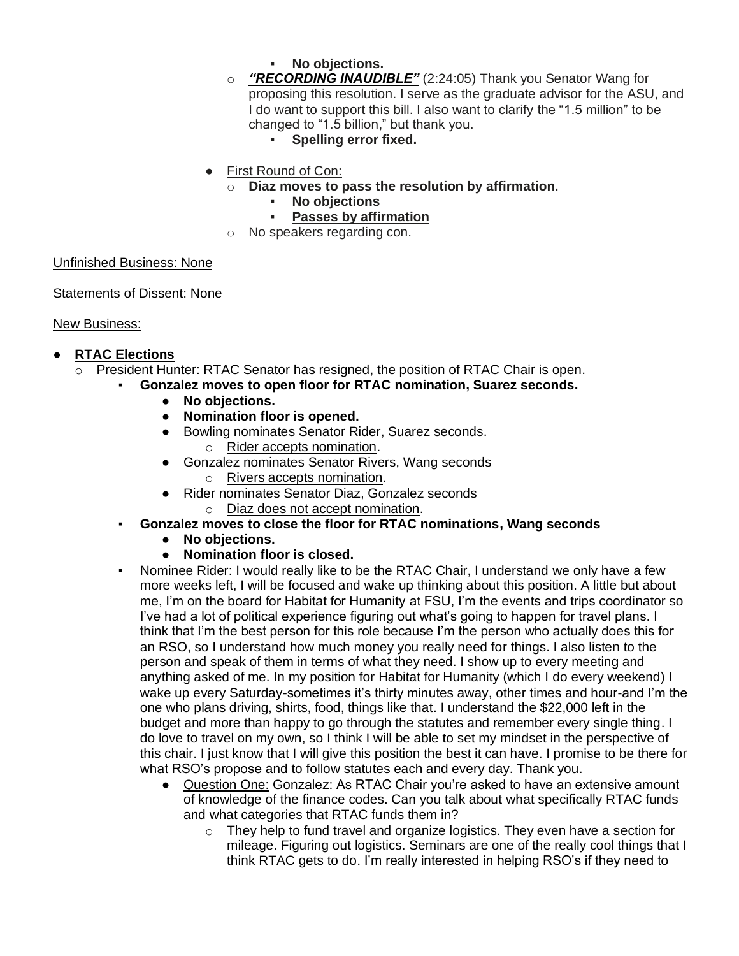- No objections.
- o *"RECORDING INAUDIBLE"* (2:24:05) Thank you Senator Wang for proposing this resolution. I serve as the graduate advisor for the ASU, and I do want to support this bill. I also want to clarify the "1.5 million" to be changed to "1.5 billion," but thank you.
	- **Spelling error fixed.**
- First Round of Con:
	- o **Diaz moves to pass the resolution by affirmation.**
		- **No objections**
		- **Passes by affirmation**
	- o No speakers regarding con.

## Unfinished Business: None

Statements of Dissent: None

## New Business:

## ● **RTAC Elections**

- $\circ$  President Hunter: RTAC Senator has resigned, the position of RTAC Chair is open.
	- Gonzalez moves to open floor for RTAC nomination, Suarez seconds.
		- **No objections.**
		- **Nomination floor is opened.**
		- Bowling nominates Senator Rider, Suarez seconds.
			- o Rider accepts nomination.
		- Gonzalez nominates Senator Rivers, Wang seconds
			- o Rivers accepts nomination.
		- Rider nominates Senator Diaz, Gonzalez seconds
			- o Diaz does not accept nomination.
	- Gonzalez moves to close the floor for RTAC nominations, Wang seconds
		- **No objections.**
		- **Nomination floor is closed.**
	- Nominee Rider: I would really like to be the RTAC Chair, I understand we only have a few more weeks left, I will be focused and wake up thinking about this position. A little but about me, I'm on the board for Habitat for Humanity at FSU, I'm the events and trips coordinator so I've had a lot of political experience figuring out what's going to happen for travel plans. I think that I'm the best person for this role because I'm the person who actually does this for an RSO, so I understand how much money you really need for things. I also listen to the person and speak of them in terms of what they need. I show up to every meeting and anything asked of me. In my position for Habitat for Humanity (which I do every weekend) I wake up every Saturday-sometimes it's thirty minutes away, other times and hour-and I'm the one who plans driving, shirts, food, things like that. I understand the \$22,000 left in the budget and more than happy to go through the statutes and remember every single thing. I do love to travel on my own, so I think I will be able to set my mindset in the perspective of this chair. I just know that I will give this position the best it can have. I promise to be there for what RSO's propose and to follow statutes each and every day. Thank you.
		- Question One: Gonzalez: As RTAC Chair you're asked to have an extensive amount of knowledge of the finance codes. Can you talk about what specifically RTAC funds and what categories that RTAC funds them in?
			- o They help to fund travel and organize logistics. They even have a section for mileage. Figuring out logistics. Seminars are one of the really cool things that I think RTAC gets to do. I'm really interested in helping RSO's if they need to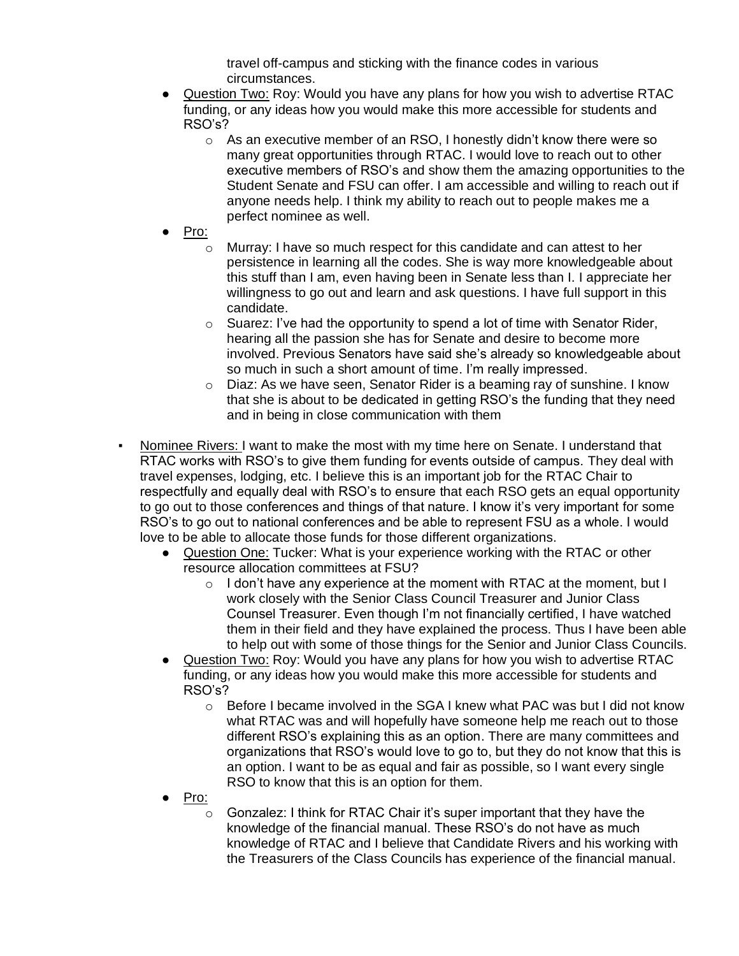travel off-campus and sticking with the finance codes in various circumstances.

- Question Two: Roy: Would you have any plans for how you wish to advertise RTAC funding, or any ideas how you would make this more accessible for students and RSO's?
	- $\circ$  As an executive member of an RSO, I honestly didn't know there were so many great opportunities through RTAC. I would love to reach out to other executive members of RSO's and show them the amazing opportunities to the Student Senate and FSU can offer. I am accessible and willing to reach out if anyone needs help. I think my ability to reach out to people makes me a perfect nominee as well.
- Pro:
	- o Murray: I have so much respect for this candidate and can attest to her persistence in learning all the codes. She is way more knowledgeable about this stuff than I am, even having been in Senate less than I. I appreciate her willingness to go out and learn and ask questions. I have full support in this candidate.
	- $\circ$  Suarez: I've had the opportunity to spend a lot of time with Senator Rider, hearing all the passion she has for Senate and desire to become more involved. Previous Senators have said she's already so knowledgeable about so much in such a short amount of time. I'm really impressed.
	- $\circ$  Diaz: As we have seen, Senator Rider is a beaming ray of sunshine. I know that she is about to be dedicated in getting RSO's the funding that they need and in being in close communication with them
- Nominee Rivers: I want to make the most with my time here on Senate. I understand that RTAC works with RSO's to give them funding for events outside of campus. They deal with travel expenses, lodging, etc. I believe this is an important job for the RTAC Chair to respectfully and equally deal with RSO's to ensure that each RSO gets an equal opportunity to go out to those conferences and things of that nature. I know it's very important for some RSO's to go out to national conferences and be able to represent FSU as a whole. I would love to be able to allocate those funds for those different organizations.
	- Question One: Tucker: What is your experience working with the RTAC or other resource allocation committees at FSU?
		- $\circ$  I don't have any experience at the moment with RTAC at the moment, but I work closely with the Senior Class Council Treasurer and Junior Class Counsel Treasurer. Even though I'm not financially certified, I have watched them in their field and they have explained the process. Thus I have been able to help out with some of those things for the Senior and Junior Class Councils.
	- Question Two: Roy: Would you have any plans for how you wish to advertise RTAC funding, or any ideas how you would make this more accessible for students and RSO's?
		- $\circ$  Before I became involved in the SGA I knew what PAC was but I did not know what RTAC was and will hopefully have someone help me reach out to those different RSO's explaining this as an option. There are many committees and organizations that RSO's would love to go to, but they do not know that this is an option. I want to be as equal and fair as possible, so I want every single RSO to know that this is an option for them.
	- Pro:
		- Gonzalez: I think for RTAC Chair it's super important that they have the knowledge of the financial manual. These RSO's do not have as much knowledge of RTAC and I believe that Candidate Rivers and his working with the Treasurers of the Class Councils has experience of the financial manual.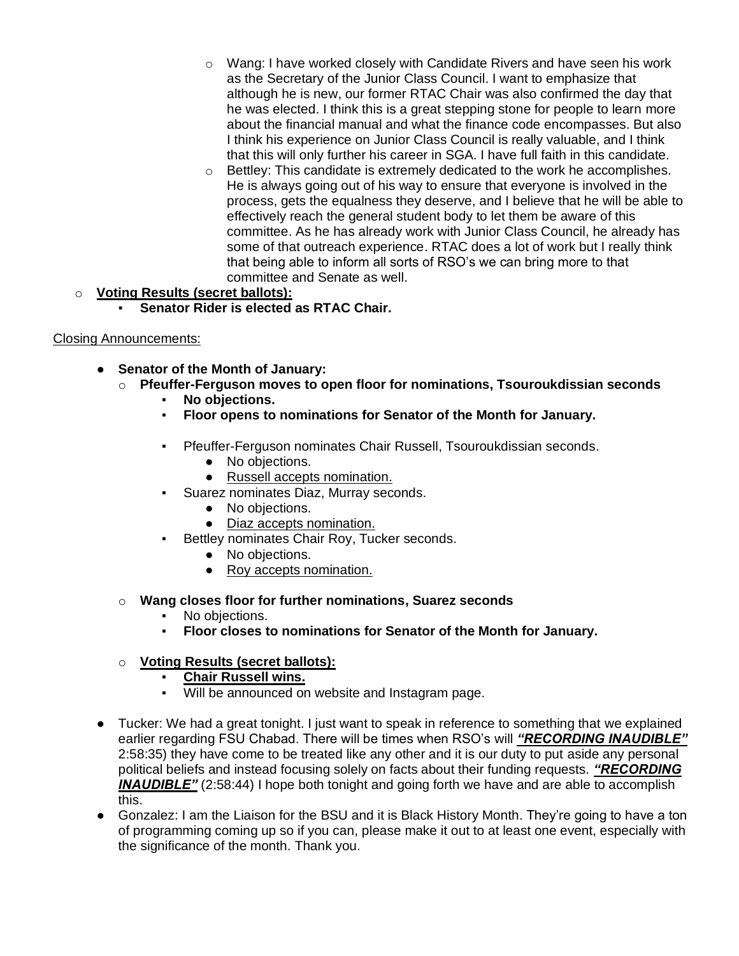- $\circ$  Wang: I have worked closely with Candidate Rivers and have seen his work as the Secretary of the Junior Class Council. I want to emphasize that although he is new, our former RTAC Chair was also confirmed the day that he was elected. I think this is a great stepping stone for people to learn more about the financial manual and what the finance code encompasses. But also I think his experience on Junior Class Council is really valuable, and I think that this will only further his career in SGA. I have full faith in this candidate.
- $\circ$  Bettley: This candidate is extremely dedicated to the work he accomplishes. He is always going out of his way to ensure that everyone is involved in the process, gets the equalness they deserve, and I believe that he will be able to effectively reach the general student body to let them be aware of this committee. As he has already work with Junior Class Council, he already has some of that outreach experience. RTAC does a lot of work but I really think that being able to inform all sorts of RSO's we can bring more to that committee and Senate as well.

## o **Voting Results (secret ballots):**

**Senator Rider is elected as RTAC Chair.** 

## Closing Announcements:

- **Senator of the Month of January:**
	- o **Pfeuffer-Ferguson moves to open floor for nominations, Tsouroukdissian seconds**
		- No objections.
		- **Floor opens to nominations for Senator of the Month for January.**
		- Pfeuffer-Ferguson nominates Chair Russell, Tsouroukdissian seconds.
			- No objections.
			- Russell accepts nomination.
		- Suarez nominates Diaz, Murray seconds.
			- No objections.
			- Diaz accepts nomination.
		- Bettley nominates Chair Roy, Tucker seconds.
			- No objections.
			- Roy accepts nomination.
	- o **Wang closes floor for further nominations, Suarez seconds**
		- No objections.
		- **Floor closes to nominations for Senator of the Month for January.**

## o **Voting Results (secret ballots):**

- **Chair Russell wins.**
- Will be announced on website and Instagram page.
- Tucker: We had a great tonight. I just want to speak in reference to something that we explained earlier regarding FSU Chabad. There will be times when RSO's will *"RECORDING INAUDIBLE"* 2:58:35) they have come to be treated like any other and it is our duty to put aside any personal political beliefs and instead focusing solely on facts about their funding requests. *"RECORDING*  **INAUDIBLE**" (2:58:44) I hope both tonight and going forth we have and are able to accomplish this.
- Gonzalez: I am the Liaison for the BSU and it is Black History Month. They're going to have a ton of programming coming up so if you can, please make it out to at least one event, especially with the significance of the month. Thank you.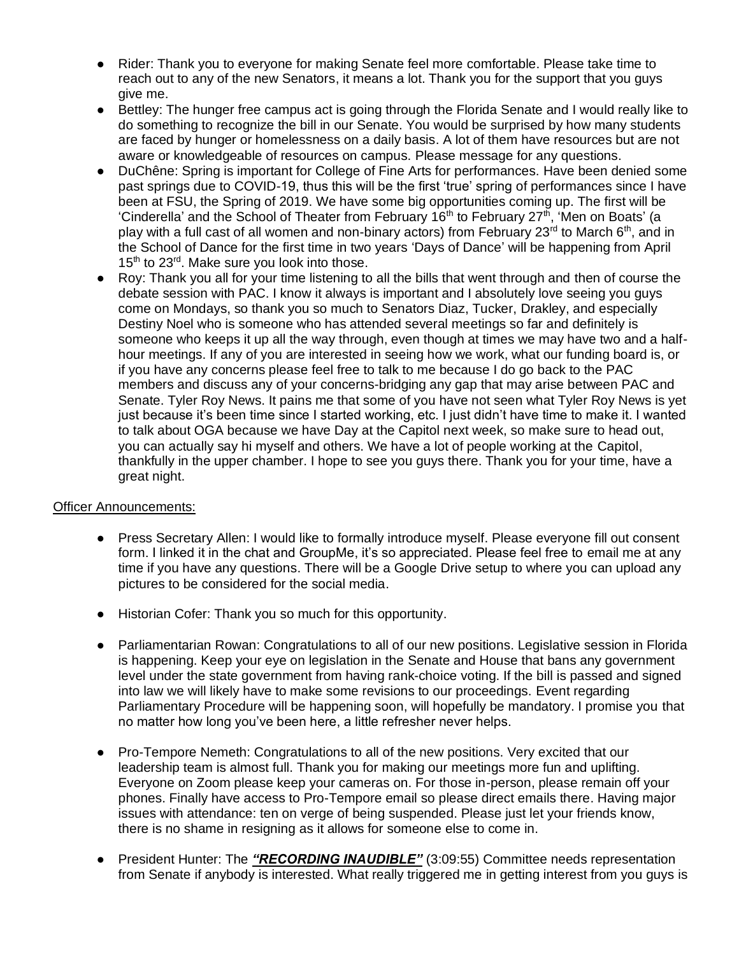- Rider: Thank you to everyone for making Senate feel more comfortable. Please take time to reach out to any of the new Senators, it means a lot. Thank you for the support that you guys give me.
- Bettley: The hunger free campus act is going through the Florida Senate and I would really like to do something to recognize the bill in our Senate. You would be surprised by how many students are faced by hunger or homelessness on a daily basis. A lot of them have resources but are not aware or knowledgeable of resources on campus. Please message for any questions.
- DuChêne: Spring is important for College of Fine Arts for performances. Have been denied some past springs due to COVID-19, thus this will be the first 'true' spring of performances since I have been at FSU, the Spring of 2019. We have some big opportunities coming up. The first will be 'Cinderella' and the School of Theater from February  $16<sup>th</sup>$  to February 27 $<sup>th</sup>$ , 'Men on Boats' (a</sup> play with a full cast of all women and non-binary actors) from February 23<sup>rd</sup> to March 6<sup>th</sup>, and in the School of Dance for the first time in two years 'Days of Dance' will be happening from April 15<sup>th</sup> to 23<sup>rd</sup>. Make sure you look into those.
- Roy: Thank you all for your time listening to all the bills that went through and then of course the debate session with PAC. I know it always is important and I absolutely love seeing you guys come on Mondays, so thank you so much to Senators Diaz, Tucker, Drakley, and especially Destiny Noel who is someone who has attended several meetings so far and definitely is someone who keeps it up all the way through, even though at times we may have two and a halfhour meetings. If any of you are interested in seeing how we work, what our funding board is, or if you have any concerns please feel free to talk to me because I do go back to the PAC members and discuss any of your concerns-bridging any gap that may arise between PAC and Senate. Tyler Roy News. It pains me that some of you have not seen what Tyler Roy News is yet just because it's been time since I started working, etc. I just didn't have time to make it. I wanted to talk about OGA because we have Day at the Capitol next week, so make sure to head out, you can actually say hi myself and others. We have a lot of people working at the Capitol, thankfully in the upper chamber. I hope to see you guys there. Thank you for your time, have a great night.

## Officer Announcements:

- Press Secretary Allen: I would like to formally introduce myself. Please everyone fill out consent form. I linked it in the chat and GroupMe, it's so appreciated. Please feel free to email me at any time if you have any questions. There will be a Google Drive setup to where you can upload any pictures to be considered for the social media.
- Historian Cofer: Thank you so much for this opportunity.
- Parliamentarian Rowan: Congratulations to all of our new positions. Legislative session in Florida is happening. Keep your eye on legislation in the Senate and House that bans any government level under the state government from having rank-choice voting. If the bill is passed and signed into law we will likely have to make some revisions to our proceedings. Event regarding Parliamentary Procedure will be happening soon, will hopefully be mandatory. I promise you that no matter how long you've been here, a little refresher never helps.
- Pro-Tempore Nemeth: Congratulations to all of the new positions. Very excited that our leadership team is almost full. Thank you for making our meetings more fun and uplifting. Everyone on Zoom please keep your cameras on. For those in-person, please remain off your phones. Finally have access to Pro-Tempore email so please direct emails there. Having major issues with attendance: ten on verge of being suspended. Please just let your friends know, there is no shame in resigning as it allows for someone else to come in.
- President Hunter: The *"RECORDING INAUDIBLE"* (3:09:55) Committee needs representation from Senate if anybody is interested. What really triggered me in getting interest from you guys is